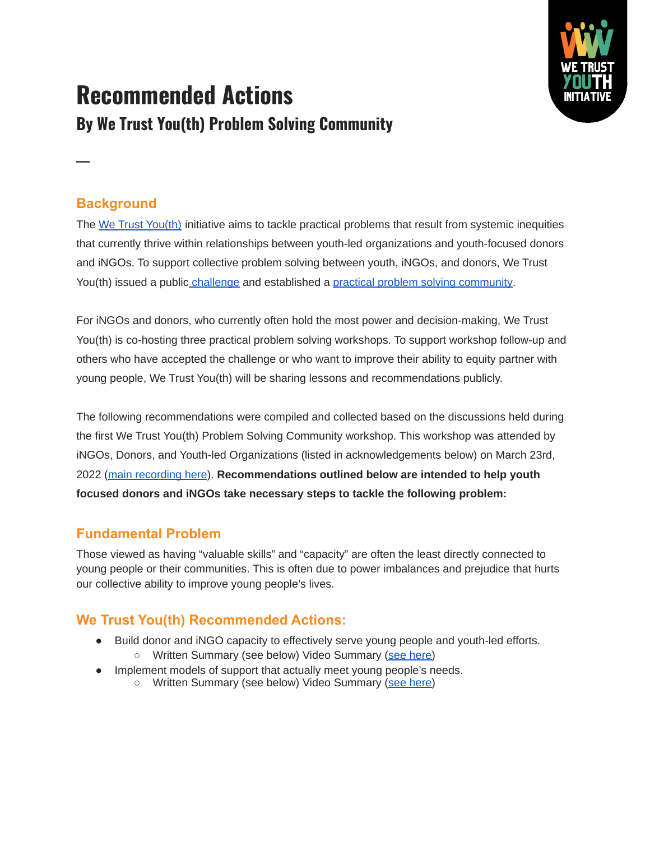

# **Recommended Actions By We Trust You(th) Problem Solving Community**

**Background**

**─**

The [We Trust You\(th\)](https://www.wetrustyouth.org/) initiative aims to tackle practical problems that result from systemic inequities that currently thrive within relationships between youth-led organizations and youth-focused donors and iNGOs. To support collective problem solving between youth, iNGOs, and donors, We Trust You(th) issued a public [challenge](https://www.wetrustyouth.org/the-challenge) and established a [practical problem solving community](https://www.wetrustyouth.org/problem-solving-group).

For iNGOs and donors, who currently often hold the most power and decision-making, We Trust You(th) is co-hosting three practical problem solving workshops. To support workshop follow-up and others who have accepted the challenge or who want to improve their ability to equity partner with young people, We Trust You(th) will be sharing lessons and recommendations publicly.

The following recommendations were compiled and collected based on the discussions held during the first We Trust You(th) Problem Solving Community workshop. This workshop was attended by iNGOs, Donors, and Youth-led Organizations (listed in acknowledgements below) on March 23rd, 2022 ([main recording here](https://youtu.be/HFLnt6yCkJE)). **Recommendations outlined below are intended to help youth focused donors and iNGOs take necessary steps to tackle the following problem:**

# **Fundamental Problem**

Those viewed as having "valuable skills" and "capacity" are often the least directly connected to young people or their communities. This is often due to power imbalances and prejudice that hurts our collective ability to improve young people's lives.

# **We Trust You(th) Recommended Actions:**

- Build donor and iNGO capacity to effectively serve young people and youth-led efforts.
	- Written Summary (see below) Video Summary ([see here\)](https://youtu.be/z2EVrFAl3jU)
- Implement models of support that actually meet young people's needs.
	- Written Summary (see below) Video Summary ([see here\)](https://youtu.be/ZKcxh1T1B8c)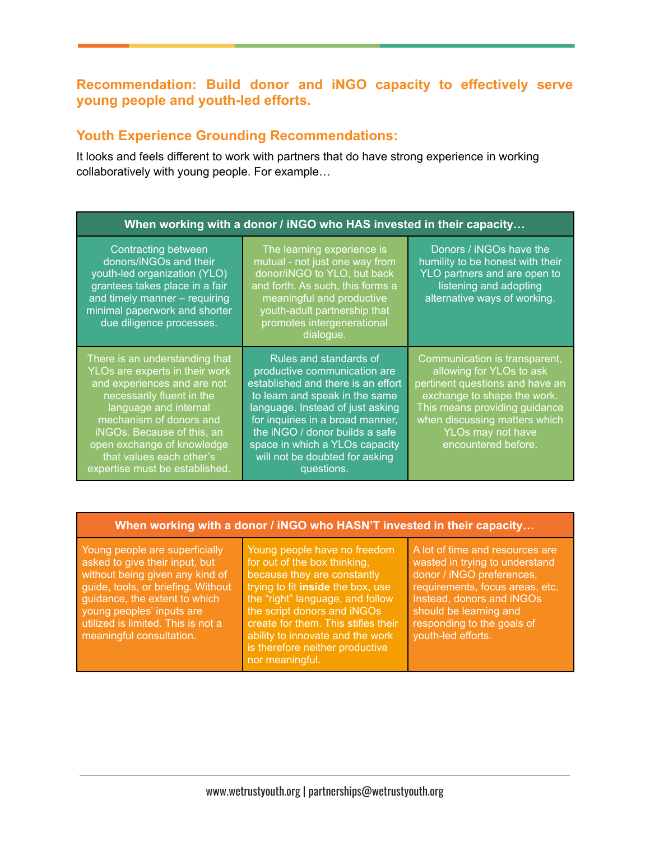# **Recommendation: Build donor and iNGO capacity to effectively serve young people and youth-led efforts.**

## **Youth Experience Grounding Recommendations:**

It looks and feels different to work with partners that do have strong experience in working collaboratively with young people. For example…

| When working with a donor / iNGO who HAS invested in their capacity                                                                                                                                                                                                                                        |                                                                                                                                                                                                                                                                                                                            |                                                                                                                                                                                                                                           |  |  |
|------------------------------------------------------------------------------------------------------------------------------------------------------------------------------------------------------------------------------------------------------------------------------------------------------------|----------------------------------------------------------------------------------------------------------------------------------------------------------------------------------------------------------------------------------------------------------------------------------------------------------------------------|-------------------------------------------------------------------------------------------------------------------------------------------------------------------------------------------------------------------------------------------|--|--|
| <b>Contracting between</b><br>donors/iNGOs and their<br>youth-led organization (YLO)<br>grantees takes place in a fair<br>and timely manner - requiring<br>minimal paperwork and shorter<br>due diligence processes.                                                                                       | The learning experience is<br>mutual - not just one way from<br>donor/iNGO to YLO, but back<br>and forth. As such, this forms a<br>meaningful and productive<br>youth-adult partnership that<br>promotes intergenerational<br>dialogue.                                                                                    | Donors / iNGOs have the<br>humility to be honest with their<br>YLO partners and are open to<br>listening and adopting<br>alternative ways of working.                                                                                     |  |  |
| There is an understanding that<br>YLOs are experts in their work<br>and experiences and are not<br>necessarily fluent in the<br>language and internal<br>mechanism of donors and<br>iNGOs. Because of this, an<br>open exchange of knowledge<br>that values each other's<br>expertise must be established. | Rules and standards of<br>productive communication are<br>established and there is an effort<br>to learn and speak in the same<br>language. Instead of just asking<br>for inquiries in a broad manner,<br>the iNGO / donor builds a safe<br>space in which a YLOs capacity<br>will not be doubted for asking<br>questions. | Communication is transparent,<br>allowing for YLOs to ask<br>pertinent questions and have an<br>exchange to shape the work.<br>This means providing guidance<br>when discussing matters which<br>YLOs may not have<br>encountered before. |  |  |

#### **When working with a donor / iNGO who HASN'T invested in their capacity…**

Young people are superficially asked to give their input, but without being given any kind of guide, tools, or briefing. Without guidance, the extent to which young peoples' inputs are utilized is limited. This is not a meaningful consultation.

Young people have no freedom for out of the box thinking, because they are constantly trying to fit **inside** the box, use the "right" language, and follow the script donors and iNGOs create for them. This stifles their ability to innovate and the work is therefore neither productive nor meaningful.

A lot of time and resources are wasted in trying to understand donor / iNGO preferences, requirements, focus areas, etc. Instead, donors and iNGOs should be learning and responding to the goals of youth-led efforts.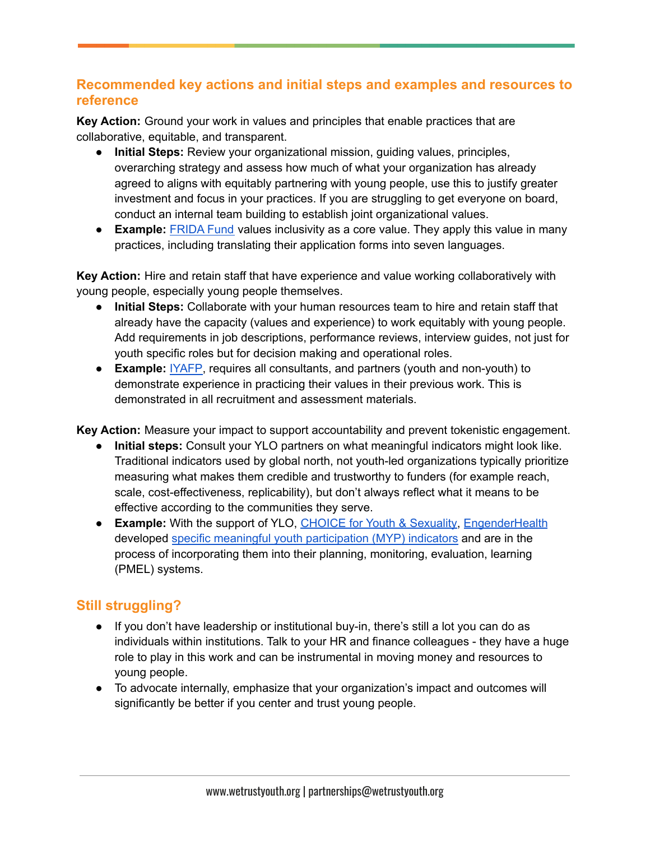# **Recommended key actions and initial steps and examples and resources to reference**

**Key Action:** Ground your work in values and principles that enable practices that are collaborative, equitable, and transparent.

- **Initial Steps:** Review your organizational mission, guiding values, principles, overarching strategy and assess how much of what your organization has already agreed to aligns with equitably partnering with young people, use this to justify greater investment and focus in your practices. If you are struggling to get everyone on board, conduct an internal team building to establish joint organizational values.
- **Example:** [FRIDA](https://youngfeministfund.org/) Fund values inclusivity as a core value. They apply this value in many practices, including translating their application forms into seven languages.

**Key Action:** Hire and retain staff that have experience and value working collaboratively with young people, especially young people themselves.

- **Initial Steps:** Collaborate with your human resources team to hire and retain staff that already have the capacity (values and experience) to work equitably with young people. Add requirements in job descriptions, performance reviews, interview guides, not just for youth specific roles but for decision making and operational roles.
- **Example:** [IYAFP,](https://iyafp.org/) requires all consultants, and partners (youth and non-youth) to demonstrate experience in practicing their values in their previous work. This is demonstrated in all recruitment and assessment materials.

**Key Action:** Measure your impact to support accountability and prevent tokenistic engagement.

- **● Initial steps:** Consult your YLO partners on what meaningful indicators might look like. Traditional indicators used by global north, not youth-led organizations typically prioritize measuring what makes them credible and trustworthy to funders (for example reach, scale, cost-effectiveness, replicability), but don't always reflect what it means to be effective according to the communities they serve.
- **Example:** With the support of YLO, CHOICE for Youth & [Sexuality,](https://www.choiceforyouth.org/) [EngenderHealth](https://www.engenderhealth.org/) developed specific meaningful youth [participation](https://www.choiceforyouth.org/news-page/choice-eh-partnership-and-our-myp-journey/?acceptCookies=62569282b0178) (MYP) indicators and are in the process of incorporating them into their planning, monitoring, evaluation, learning (PMEL) systems.

# **Still struggling?**

- If you don't have leadership or institutional buy-in, there's still a lot you can do as individuals within institutions. Talk to your HR and finance colleagues - they have a huge role to play in this work and can be instrumental in moving money and resources to young people.
- To advocate internally, emphasize that your organization's impact and outcomes will significantly be better if you center and trust young people.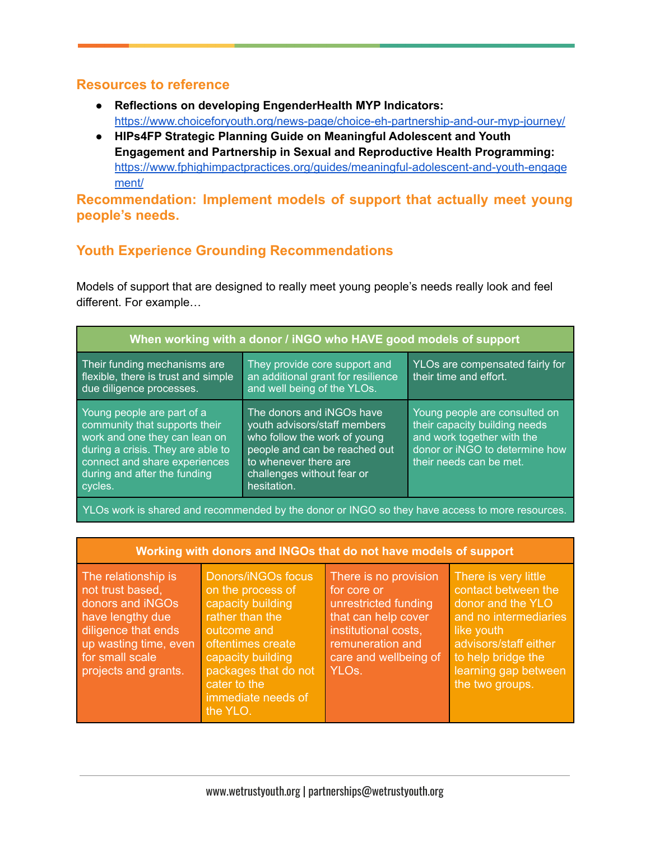### **Resources to reference**

- **Reflections on developing EngenderHealth MYP Indicators:** <https://www.choiceforyouth.org/news-page/choice-eh-partnership-and-our-myp-journey/>
- **HIPs4FP Strategic Planning Guide on Meaningful Adolescent and Youth Engagement and Partnership in Sexual and Reproductive Health Programming:** [https://www.fphighimpactpractices.org/guides/meaningful-adolescent-and-youth-engage](https://www.fphighimpactpractices.org/guides/meaningful-adolescent-and-youth-engagement/) [ment/](https://www.fphighimpactpractices.org/guides/meaningful-adolescent-and-youth-engagement/)

**Recommendation: Implement models of support that actually meet young people's needs.**

# **Youth Experience Grounding Recommendations**

Models of support that are designed to really meet young people's needs really look and feel different. For example…

| When working with a donor / iNGO who HAVE good models of support                                                                                                                                              |                                                                                                                                                                                                  |                                                                                                                                                           |  |  |
|---------------------------------------------------------------------------------------------------------------------------------------------------------------------------------------------------------------|--------------------------------------------------------------------------------------------------------------------------------------------------------------------------------------------------|-----------------------------------------------------------------------------------------------------------------------------------------------------------|--|--|
| Their funding mechanisms are<br>flexible, there is trust and simple<br>due diligence processes.                                                                                                               | They provide core support and<br>an additional grant for resilience<br>and well being of the YLOs.                                                                                               | YLOs are compensated fairly for<br>their time and effort.                                                                                                 |  |  |
| Young people are part of a<br>community that supports their<br>work and one they can lean on<br>during a crisis. They are able to<br>connect and share experiences<br>during and after the funding<br>cycles. | The donors and iNGOs have<br>youth advisors/staff members<br>who follow the work of young<br>people and can be reached out<br>to whenever there are<br>challenges without fear or<br>hesitation. | Young people are consulted on<br>their capacity building needs<br>and work together with the<br>donor or iNGO to determine how<br>their needs can be met. |  |  |

YLOs work is shared and recommended by the donor or INGO so they have access to more resources.

| Working with donors and INGOs that do not have models of support                                                                                                           |                                                                                                                                                                                                                    |                                                                                                                                                                                |                                                                                                                                                                                                   |  |  |
|----------------------------------------------------------------------------------------------------------------------------------------------------------------------------|--------------------------------------------------------------------------------------------------------------------------------------------------------------------------------------------------------------------|--------------------------------------------------------------------------------------------------------------------------------------------------------------------------------|---------------------------------------------------------------------------------------------------------------------------------------------------------------------------------------------------|--|--|
| The relationship is<br>not trust based,<br>donors and iNGOs<br>have lengthy due<br>diligence that ends<br>up wasting time, even<br>for small scale<br>projects and grants. | Donors/iNGOs focus<br>on the process of<br>capacity building<br>rather than the<br>outcome and<br>oftentimes create<br>capacity building<br>packages that do not<br>cater to the<br>immediate needs of<br>the YLO. | There is no provision<br>for core or<br>unrestricted funding<br>that can help cover<br>institutional costs,<br>remuneration and<br>care and wellbeing of<br>YLO <sub>s</sub> . | There is very little<br>contact between the<br>donor and the YLO<br>and no intermediaries<br>like youth<br>advisors/staff either<br>to help bridge the<br>learning gap between<br>the two groups. |  |  |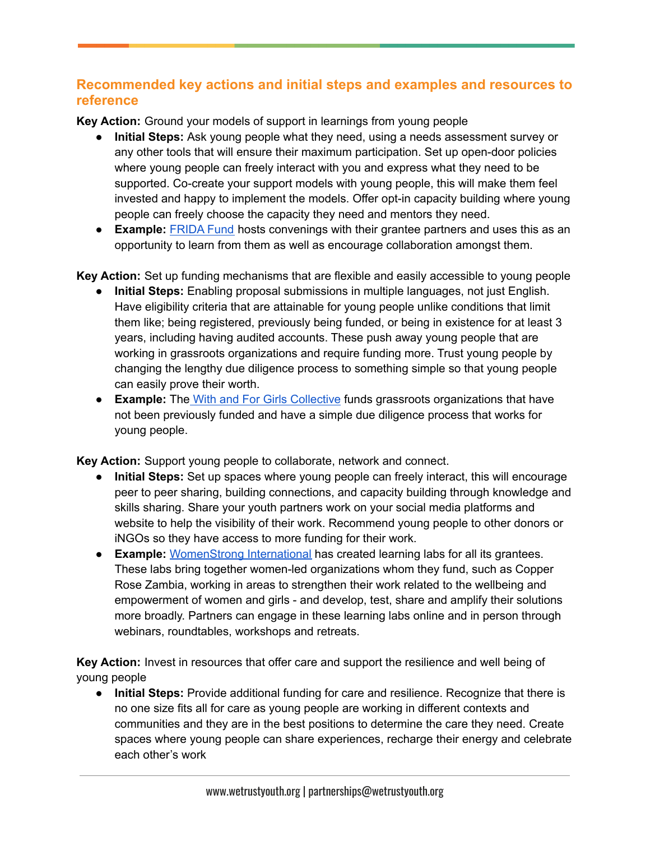# **Recommended key actions and initial steps and examples and resources to reference**

**Key Action:** Ground your models of support in learnings from young people

- **Initial Steps:** Ask young people what they need, using a needs assessment survey or any other tools that will ensure their maximum participation. Set up open-door policies where young people can freely interact with you and express what they need to be supported. Co-create your support models with young people, this will make them feel invested and happy to implement the models. Offer opt-in capacity building where young people can freely choose the capacity they need and mentors they need.
- **Example:** [FRIDA](https://youngfeministfund.org/) Fund hosts convenings with their grantee partners and uses this as an opportunity to learn from them as well as encourage collaboration amongst them.

**Key Action:** Set up funding mechanisms that are flexible and easily accessible to young people

- **Initial Steps:** Enabling proposal submissions in multiple languages, not just English. Have eligibility criteria that are attainable for young people unlike conditions that limit them like; being registered, previously being funded, or being in existence for at least 3 years, including having audited accounts. These push away young people that are working in grassroots organizations and require funding more. Trust young people by changing the lengthy due diligence process to something simple so that young people can easily prove their worth.
- **Example:** The With and For Girls [Collective](https://wearepurposeful.org/projects/with-and-for-girls-fund/) funds grassroots organizations that have not been previously funded and have a simple due diligence process that works for young people.

**Key Action:** Support young people to collaborate, network and connect.

- **● Initial Steps:** Set up spaces where young people can freely interact, this will encourage peer to peer sharing, building connections, and capacity building through knowledge and skills sharing. Share your youth partners work on your social media platforms and website to help the visibility of their work. Recommend young people to other donors or iNGOs so they have access to more funding for their work.
- **● Example:** [WomenStrong](https://www.womenstrong.org/our-learning-lab/) International has created learning labs for all its grantees. These labs bring together women-led organizations whom they fund, such as Copper Rose Zambia, working in areas to strengthen their work related to the wellbeing and empowerment of women and girls - and develop, test, share and amplify their solutions more broadly. Partners can engage in these learning labs online and in person through webinars, roundtables, workshops and retreats.

**Key Action:** Invest in resources that offer care and support the resilience and well being of young people

**● Initial Steps:** Provide additional funding for care and resilience. Recognize that there is no one size fits all for care as young people are working in different contexts and communities and they are in the best positions to determine the care they need. Create spaces where young people can share experiences, recharge their energy and celebrate each other's work